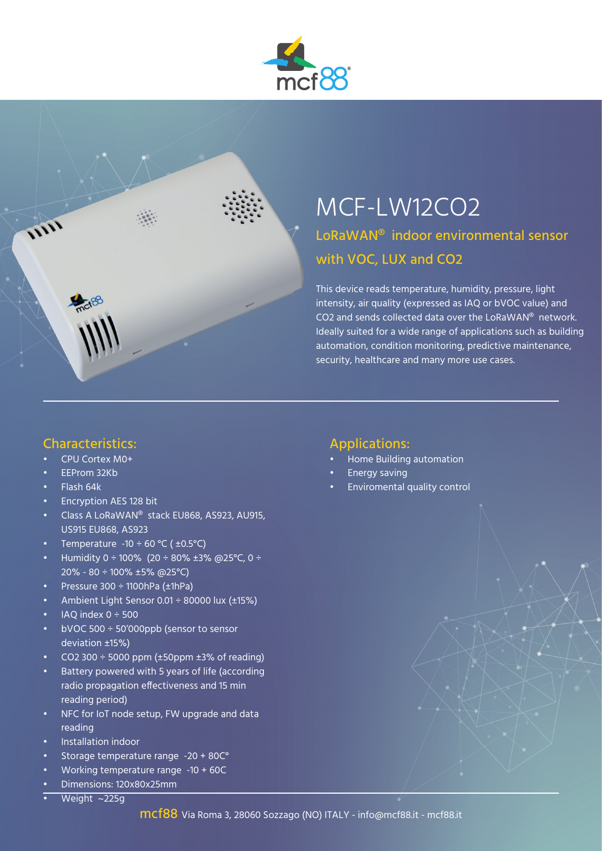



## MCF-LW12CO2 LoRaWAN® indoor environmental sensor with VOC, LUX and CO2

This device reads temperature, humidity, pressure, light intensity, air quality (expressed as IAQ or bVOC value) and CO2 and sends collected data over the LoRaWAN® network. Ideally suited for a wide range of applications such as building automation, condition monitoring, predictive maintenance, security, healthcare and many more use cases.

#### Characteristics:

- CPU Cortex M0+
- EEProm 32Kb
- Flash 64k
- Encryption AES 128 bit
- Class A LoRaWAN® stack EU868, AS923, AU915, US915 EU868, AS923
- Temperature -10  $\div$  60 °C ( $\pm$ 0.5°C)
- Humidity 0 ÷ 100% (20 ÷ 80% ±3% @25°C, 0 ÷ 20% - 80 ÷ 100% ±5% @25°C)
- Pressure  $300 \div 1100$ hPa (±1hPa)
- Ambient Light Sensor 0.01 ÷ 80000 lux (±15%)
- IAO index  $0 \div 500$
- bVOC 500 ÷ 50'000ppb (sensor to sensor deviation ±15%)
- $CO2 300 \div 5000$  ppm ( $\pm 50$ ppm  $\pm 3\%$  of reading)
- Battery powered with 5 years of life (according radio propagation effectiveness and 15 min reading period)
- NFC for IoT node setup, FW upgrade and data reading
- Installation indoor
- Storage temperature range -20 + 80C°
- Working temperature range -10 + 60C
- Dimensions: 120x80x25mm
- Weight  $\sim$ 225g

#### Applications:

- Home Building automation
- Energy saving
- Enviromental quality control

mcf88 Via Roma 3, 28060 Sozzago (NO) ITALY - info@mcf88.it - mcf88.it